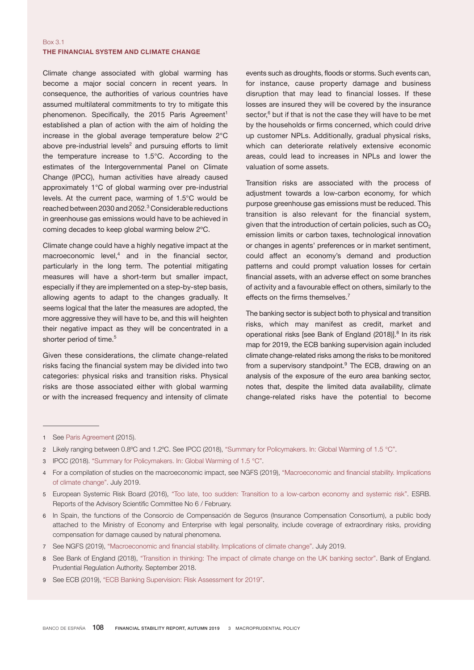## Box 3.1 THE FINANCIAL SYSTEM AND CLIMATE CHANGE

Climate change associated with global warming has become a major social concern in recent years. In consequence, the authorities of various countries have assumed multilateral commitments to try to mitigate this phenomenon. Specifically, the 2015 Paris Agreement<sup>1</sup> established a plan of action with the aim of holding the increase in the global average temperature below 2°C above pre-industrial levels $2$  and pursuing efforts to limit the temperature increase to 1.5°C. According to the estimates of the Intergovernmental Panel on Climate Change (IPCC), human activities have already caused approximately 1°C of global warming over pre-industrial levels. At the current pace, warming of 1.5°C would be reached between 2030 and 2052.<sup>3</sup> Considerable reductions in greenhouse gas emissions would have to be achieved in coming decades to keep global warming below 2ºC.

Climate change could have a highly negative impact at the macroeconomic level, $4$  and in the financial sector, particularly in the long term. The potential mitigating measures will have a short-term but smaller impact, especially if they are implemented on a step-by-step basis, allowing agents to adapt to the changes gradually. It seems logical that the later the measures are adopted, the more aggressive they will have to be, and this will heighten their negative impact as they will be concentrated in a shorter period of time.<sup>5</sup>

Given these considerations, the climate change-related risks facing the financial system may be divided into two categories: physical risks and transition risks. Physical risks are those associated either with global warming or with the increased frequency and intensity of climate

events such as droughts, floods or storms. Such events can, for instance, cause property damage and business disruption that may lead to financial losses. If these losses are insured they will be covered by the insurance sector,<sup>6</sup> but if that is not the case they will have to be met by the households or firms concerned, which could drive up customer NPLs. Additionally, gradual physical risks, which can deteriorate relatively extensive economic areas, could lead to increases in NPLs and lower the valuation of some assets.

Transition risks are associated with the process of adjustment towards a low-carbon economy, for which purpose greenhouse gas emissions must be reduced. This transition is also relevant for the financial system, given that the introduction of certain policies, such as  $CO<sub>2</sub>$ emission limits or carbon taxes, technological innovation or changes in agents' preferences or in market sentiment, could affect an economy's demand and production patterns and could prompt valuation losses for certain financial assets, with an adverse effect on some branches of activity and a favourable effect on others, similarly to the effects on the firms themselves.<sup>7</sup>

The banking sector is subject both to physical and transition risks, which may manifest as credit, market and operational risks [see Bank of England (2018)].<sup>8</sup> In its risk map for 2019, the ECB banking supervision again included climate change-related risks among the risks to be monitored from a supervisory standpoint.<sup>9</sup> The ECB, drawing on an analysis of the exposure of the euro area banking sector, notes that, despite the limited data availability, climate change-related risks have the potential to become

- 7 See NGFS (2019), ["Macroeconomic](https://www.banque-france.fr/sites/default/files/media/2019/08/07/ngfs_report_technical_supplement_final.pdf) and financial stability. Implications of climate change". July 2019.
- 8 See Bank of England (2018), ["Transition in thinking: The impact of climate change on the UK banking sector"](https://www.bankofengland.co.uk/-/media/boe/files/prudential-regulation/report/transition-in-thinking-the-impact-of-climate-change-on-the-uk-banking-sector.pdf?la=en&hash=A0C99529978C94AC8E1C6B4CE1EECD8C05CBF40D). Bank of England. Prudential Regulation Authority. September 2018.
- 9 See ECB (2019), ["ECB Banking Supervision: Risk Assessment for 2019".](https://www.bankingsupervision.europa.eu/ecb/pub/pdf/ra/ssm.ra2019.en.pdf)

<sup>1</sup> See [Paris Agreement](https://unfccc.int/sites/default/files/english_paris_agreement.pdf) (2015).

<sup>2</sup> Likely ranging between 0.8ºC and 1.2ºC. See IPCC (2018), ["Summary for Policymakers. In: Global Warming of 1.5 °C"](https://www.ipcc.ch/site/assets/uploads/sites/2/2019/06/SR15_Full_Report_Low_Res.pdf).

<sup>3</sup> IPCC (2018). ["Summary for Policymakers. In: Global Warming of 1.5 °C"](https://www.ipcc.ch/site/assets/uploads/sites/2/2019/06/SR15_Full_Report_Low_Res.pdf).

<sup>4</sup> For a compilation of studies on the macroeconomic impact, see NGFS (2019), ["Macroeconomic](https://www.banque-france.fr/sites/default/files/media/2019/08/07/ngfs_report_technical_supplement_final.pdf) and financial stability. Implications [of climate change"](https://www.banque-france.fr/sites/default/files/media/2019/08/07/ngfs_report_technical_supplement_final.pdf). July 2019.

<sup>5</sup> European Systemic Risk Board (2016), ["Too late, too sudden: Transition to a low-carbon economy and systemic risk"](https://www.esrb.europa.eu/pub/pdf/asc/Reports_ASC_6_1602.pdf). ESRB. Reports of the Advisory Scientific Committee No 6 / February.

<sup>6</sup> In Spain, the functions of the Consorcio de Compensación de Seguros (Insurance Compensation Consortium), a public body attached to the Ministry of Economy and Enterprise with legal personality, include coverage of extraordinary risks, providing compensation for damage caused by natural phenomena.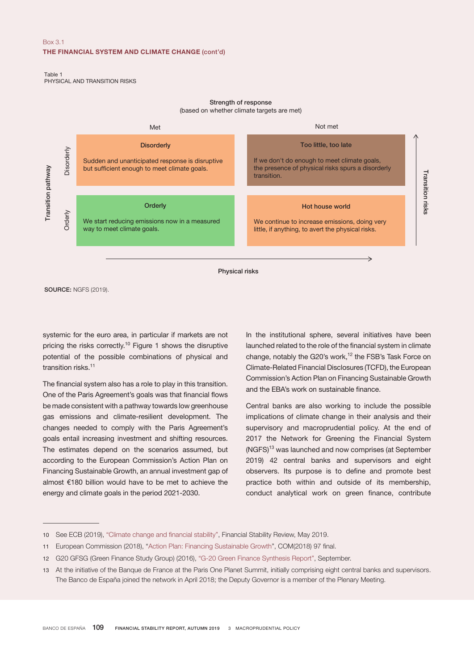## Box 3.1 THE FINANCIAL SYSTEM AND CLIMATE CHANGE (cont'd)

Table 1 PHYSICAL AND TRANSITION RISKS

## Strength of response

(based on whether climate targets are met)



SOURCE: NGFS (2019).

systemic for the euro area, in particular if markets are not pricing the risks correctly.<sup>10</sup> Figure 1 shows the disruptive potential of the possible combinations of physical and transition risks.<sup>11</sup>

The financial system also has a role to play in this transition. One of the Paris Agreement's goals was that financial flows be made consistent with a pathway towards low greenhouse gas emissions and climate-resilient development. The changes needed to comply with the Paris Agreement's goals entail increasing investment and shifting resources. The estimates depend on the scenarios assumed, but according to the European Commission's Action Plan on Financing Sustainable Growth, an annual investment gap of almost €180 billion would have to be met to achieve the energy and climate goals in the period 2021-2030.

In the institutional sphere, several initiatives have been launched related to the role of the financial system in climate change, notably the G20's work,<sup>12</sup> the FSB's Task Force on Climate-Related Financial Disclosures (TCFD), the European Commission's Action Plan on Financing Sustainable Growth and the EBA's work on sustainable finance.

Central banks are also working to include the possible implications of climate change in their analysis and their supervisory and macroprudential policy. At the end of 2017 the Network for Greening the Financial System (NGFS)<sup>13</sup> was launched and now comprises (at September 2019) 42 central banks and supervisors and eight observers. Its purpose is to define and promote best practice both within and outside of its membership, conduct analytical work on green finance, contribute

<sup>10</sup> See ECB (2019), ["Climate](https://www.ecb.europa.eu/pub/pdf/fsr/ecb.fsr201905~266e856634.en.pdf?613f7cd049b8715ed75ba22c21fab16f) change and financial stability", Financial Stability Review, May 2019.

<sup>11</sup> European Commission (2018), ["Action Plan: Financing Sustainable Growth](https://ec.europa.eu/transparency/regdoc/rep/1/2018/EN/COM-2018-97-F1-EN-MAIN-PART-1.PDF)", COM(2018) 97 final.

<sup>12</sup> G20 GFSG (Green Finance Study Group) (2016), ["G-20 Green Finance Synthesis Report",](http://www.g20.utoronto.ca/2016/green-finance-synthesis.pdf) September.

<sup>13</sup> At the initiative of the Banque de France at the Paris One Planet Summit, initially comprising eight central banks and supervisors. The Banco de España joined the network in April 2018; the Deputy Governor is a member of the Plenary Meeting.